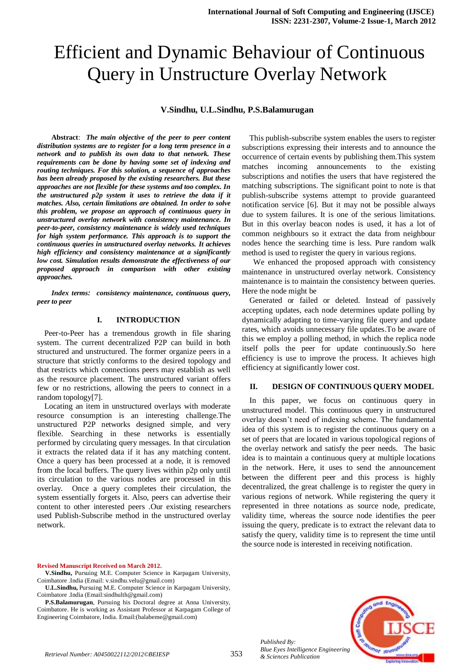# Efficient and Dynamic Behaviour of Continuous Query in Unstructure Overlay Network

## **V.Sindhu, U.L.Sindhu, P.S.Balamurugan**

**Abstract**: *The main objective of the peer to peer content distribution systems are to register for a long term presence in a network and to publish its own data to that network. These requirements can be done by having some set of indexing and routing techniques. For this solution, a sequence of approaches has been already proposed by the existing researchers. But these approaches are not flexible for these systems and too complex. In the unstructured p2p system it uses to retrieve the data if it matches. Also, certain limitations are obtained. In order to solve this problem, we propose an approach of continuous query in unstructured overlay network with consistency maintenance. In peer-to-peer, consistency maintenance is widely used techniques for high system performance. This approach is to support the continuous queries in unstructured overlay networks. It achieves high efficiency and consistency maintenance at a significantly low cost. Simulation results demonstrate the effectiveness of our proposed approach in comparison with other existing approaches.*

*Index terms: consistency maintenance, continuous query, peer to peer*

## **I. INTRODUCTION**

Peer-to-Peer has a tremendous growth in file sharing system. The current decentralized P2P can build in both structured and unstructured. The former organize peers in a structure that strictly conforms to the desired topology and that restricts which connections peers may establish as well as the resource placement. The unstructured variant offers few or no restrictions, allowing the peers to connect in a random topology[7].

Locating an item in unstructured overlays with moderate resource consumption is an interesting challenge.The unstructured P2P networks designed simple, and very flexible. Searching in these networks is essentially performed by circulating query messages. In that circulation it extracts the related data if it has any matching content. Once a query has been processed at a node, it is removed from the local buffers. The query lives within p2p only until its circulation to the various nodes are processed in this overlay. Once a query completes their circulation, the system essentially forgets it. Also, peers can advertise their content to other interested peers .Our existing researchers used Publish-Subscribe method in the unstructured overlay network.

This publish-subscribe system enables the users to register subscriptions expressing their interests and to announce the occurrence of certain events by publishing them.This system matches incoming announcements to the existing subscriptions and notifies the users that have registered the matching subscriptions. The significant point to note is that publish-subscribe systems attempt to provide guaranteed notification service [6]. But it may not be possible always due to system failures. It is one of the serious limitations. But in this overlay beacon nodes is used, it has a lot of common neighbours so it extract the data from neighbour nodes hence the searching time is less. Pure random walk method is used to register the query in various regions.

We enhanced the proposed approach with consistency maintenance in unstructured overlay network. Consistency maintenance is to maintain the consistency between queries. Here the node might be

Generated or failed or deleted. Instead of passively accepting updates, each node determines update polling by dynamically adapting to time-varying file query and update rates, which avoids unnecessary file updates.To be aware of this we employ a polling method, in which the replica node itself polls the peer for update continuously.So here efficiency is use to improve the process. It achieves high efficiency at significantly lower cost.

## **II. DESIGN OF CONTINUOUS QUERY MODEL**

In this paper, we focus on continuous query in unstructured model. This continuous query in unstructured overlay doesn't need of indexing scheme. The fundamental idea of this system is to register the continuous query on a set of peers that are located in various topological regions of the overlay network and satisfy the peer needs. The basic idea is to maintain a continuous query at multiple locations in the network. Here, it uses to send the announcement between the different peer and this process is highly decentralized, the great challenge is to register the query in various regions of network. While registering the query it represented in three notations as source node, predicate, validity time, whereas the source node identifies the peer issuing the query, predicate is to extract the relevant data to satisfy the query, validity time is to represent the time until the source node is interested in receiving notification.

#### **Revised Manuscript Received on March 2012.**

**V.Sindhu,** Pursuing M.E. Computer Science in Karpagam University, Coimbatore .India (Email: v.sindhu.velu@gmail.com)

**U.L.Sindhu,** Pursuing M.E. Computer Science in Karpagam University, Coimbatore .India (Email:sindhulth@gmail.com)

**P.S.Balamurugan**, Pursuing his Doctoral degree at Anna University, Coimbatore. He is working as Assistant Professor at Karpagam College of Engineering Coimbatore, India. Email:(balabeme@gmail.com)

*Blue Eyes Intelligence Engineering* 

*Published By:*

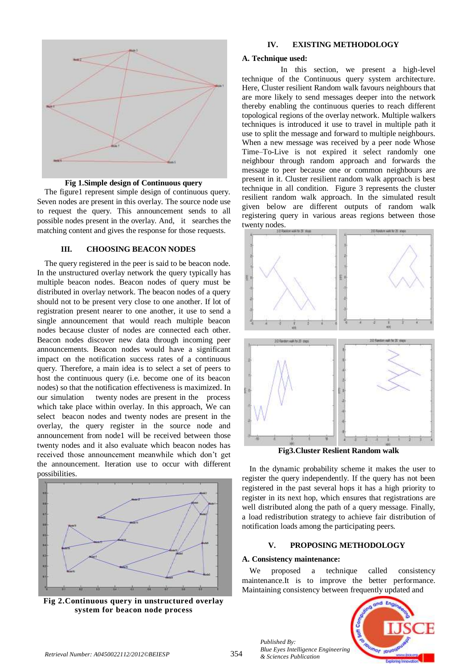

**Fig 1.Simple design of Continuous query**

The figure1 represent simple design of continuous query. Seven nodes are present in this overlay. The source node use to request the query. This announcement sends to all possible nodes present in the overlay. And, it searches the matching content and gives the response for those requests.

## **III. CHOOSING BEACON NODES**

The query registered in the peer is said to be beacon node. In the unstructured overlay network the query typically has multiple beacon nodes. Beacon nodes of query must be distributed in overlay network. The beacon nodes of a query should not to be present very close to one another. If lot of registration present nearer to one another, it use to send a single announcement that would reach multiple beacon nodes because cluster of nodes are connected each other. Beacon nodes discover new data through incoming peer announcements. Beacon nodes would have a significant impact on the notification success rates of a continuous query. Therefore, a main idea is to select a set of peers to host the continuous query (i.e. become one of its beacon nodes) so that the notification effectiveness is maximized. In our simulation twenty nodes are present in the process which take place within overlay. In this approach, We can select beacon nodes and twenty nodes are present in the overlay, the query register in the source node and announcement from node1 will be received between those twenty nodes and it also evaluate which beacon nodes has received those announcement meanwhile which don't get the announcement. Iteration use to occur with different possibilities.



**Fig 2.Continuous query in unstructured overlay system for beacon node process**

## **IV. EXISTING METHODOLOGY**

## **A. Technique used:**

In this section, we present a high-level technique of the Continuous query system architecture. Here, Cluster resilient Random walk favours neighbours that are more likely to send messages deeper into the network thereby enabling the continuous queries to reach different topological regions of the overlay network. Multiple walkers techniques is introduced it use to travel in multiple path it use to split the message and forward to multiple neighbours. When a new message was received by a peer node Whose Time–To-Live is not expired it select randomly one neighbour through random approach and forwards the message to peer because one or common neighbours are present in it. Cluster resilient random walk approach is best technique in all condition. Figure 3 represents the cluster resilient random walk approach. In the simulated result given below are different outputs of random walk registering query in various areas regions between those twenty nodes.



**Fig3.Cluster Reslient Random walk**

In the dynamic probability scheme it makes the user to register the query independently. If the query has not been registered in the past several hops it has a high priority to register in its next hop, which ensures that registrations are well distributed along the path of a query message. Finally, a load redistribution strategy to achieve fair distribution of notification loads among the participating peers.

## **V. PROPOSING METHODOLOGY**

## **A. Consistency maintenance:**

We proposed a technique called consistency maintenance.It is to improve the better performance. Maintaining consistency between frequently updated and



*Published By: Blue Eyes Intelligence Engineering*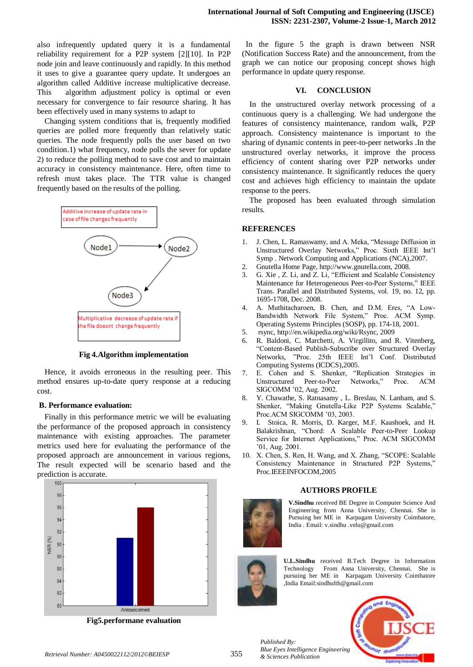also infrequently updated query it is a fundamental reliability requirement for a P2P system [2][10]. In P2P node join and leave continuously and rapidly. In this method it uses to give a guarantee query update. It undergoes an algorithm called Additive increase multiplicative decrease. This algorithm adjustment policy is optimal or even necessary for convergence to fair resource sharing. It has been effectively used in many systems to adapt to

Changing system conditions that is, frequently modified queries are polled more frequently than relatively static queries. The node frequently polls the user based on two condition.1) what frequency, node polls the sever for update 2) to reduce the polling method to save cost and to maintain accuracy in consistency maintenance. Here, often time to refresh must takes place. The TTR value is changed frequently based on the results of the polling.



**Fig 4.Algorithm implementation**

Hence, it avoids erroneous in the resulting peer. This method ensures up-to-date query response at a reducing cost.

## **B. Performance evaluation:**

Finally in this performance metric we will be evaluating the performance of the proposed approach in consistency maintenance with existing approaches. The parameter metrics used here for evaluating the performance of the proposed approach are announcement in various regions, The result expected will be scenario based and the prediction is accurate.



**Fig5.performane evaluation**

In the figure 5 the graph is drawn between NSR (Notification Success Rate) and the announcement, from the graph we can notice our proposing concept shows high performance in update query response.

## **VI. CONCLUSION**

In the unstructured overlay network processing of a continuous query is a challenging. We had undergone the features of consistency maintenance, random walk, P2P approach. Consistency maintenance is important to the sharing of dynamic contents in peer-to-peer networks .In the unstructured overlay networks, it improve the process efficiency of content sharing over P2P networks under consistency maintenance. It significantly reduces the query cost and achieves high efficiency to maintain the update response to the peers.

The proposed has been evaluated through simulation results.

## **REFERENCES**

- 1. J. Chen, L. Ramaswamy, and A. Meka, "Message Diffusion in Unstructured Overlay Networks," Proc. Sixth IEEE Int'l Symp . Network Computing and Applications (NCA),2007.
- 2. Gnutella Home Page, http://www.gnutella.com, 2008.
- 3. G. Xie , Z. Li, and Z. Li, "Efficient and Scalable Consistency Maintenance for Heterogeneous Peer-to-Peer Systems," IEEE Trans. Parallel and Distributed Systems, vol. 19, no. 12, pp. 1695-1708, Dec. 2008.
- 4. A. Muthitacharoen, B. Chen, and D.M. Eres, "A Low-Bandwidth Network File System," Proc. ACM Symp. Operating Systems Principles (SOSP), pp. 174-18, 2001.
- 5. rsync, http://en.wikipedia.org/wiki/Rsync, 2009
- 6. R. Baldoni, C. Marchetti, A. Virgillito, and R. Vitenberg, "Content-Based Publish-Subscribe over Structured Overlay Networks, "Proc. 25th IEEE Int'l Conf. Distributed Computing Systems (ICDCS),2005.
- 7. E. Cohen and S. Shenker, "Replication Strategies in Unstructured Peer-to-Peer Networks," Proc. ACM SIGCOMM '02, Aug. 2002.
- 8. Y. Chawathe, S. Ratnasamy , L. Breslau, N. Lanham, and S. Shenker, "Making Gnutella-Like P2P Systems Scalable," Proc.ACM SIGCOMM '03, 2003.
- 9. I. Stoica, R. Morris, D. Karger, M.F. Kaashoek, and H. Balakrishnan, "Chord: A Scalable Peer-to-Peer Lookup Service for Internet Applications," Proc. ACM SIGCOMM '01, Aug. 2001.
- 10. X. Chen, S. Ren, H. Wang, and X. Zhang, "SCOPE: Scalable Consistency Maintenance in Structured P2P Systems," Proc.IEEEINFOCOM,2005

## **AUTHORS PROFILE**



**V.Sindhu** received BE Degree in Computer Science And Engineering from Anna University, Chennai. She is Pursuing her ME in Karpagam University Coimbatore, India . Email: v.sindhu .velu@gmail.com



**U.L.Sindhu** received B.Tech Degree in Information Technology From Anna University, Chennai. She is pursuing her ME in Karpagam University Coimbatore ,India Email:sindhulth@gmail.com